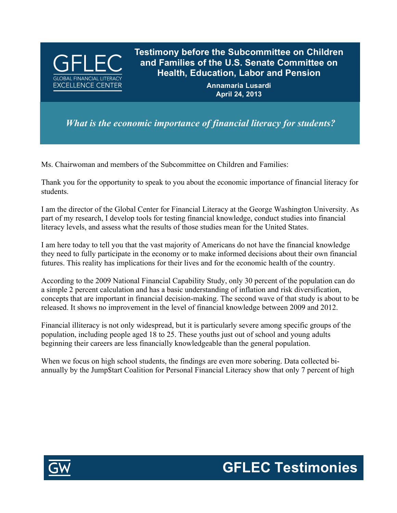

**Testimony before the Subcommittee on Children and Families of the U.S. Senate Committee on Health, Education, Labor and Pension**

> **Annamaria Lusardi April 24, 2013**

*What is the economic importance of financial literacy for students?*

Ms. Chairwoman and members of the Subcommittee on Children and Families:

Thank you for the opportunity to speak to you about the economic importance of financial literacy for students.

I am the director of the Global Center for Financial Literacy at the George Washington University. As part of my research, I develop tools for testing financial knowledge, conduct studies into financial literacy levels, and assess what the results of those studies mean for the United States.

I am here today to tell you that the vast majority of Americans do not have the financial knowledge they need to fully participate in the economy or to make informed decisions about their own financial futures. This reality has implications for their lives and for the economic health of the country.

According to the 2009 National Financial Capability Study, only 30 percent of the population can do a simple 2 percent calculation and has a basic understanding of inflation and risk diversification, concepts that are important in financial decision-making. The second wave of that study is about to be released. It shows no improvement in the level of financial knowledge between 2009 and 2012.

Financial illiteracy is not only widespread, but it is particularly severe among specific groups of the population, including people aged 18 to 25. These youths just out of school and young adults beginning their careers are less financially knowledgeable than the general population.

When we focus on high school students, the findings are even more sobering. Data collected biannually by the Jump\$tart Coalition for Personal Financial Literacy show that only 7 percent of high



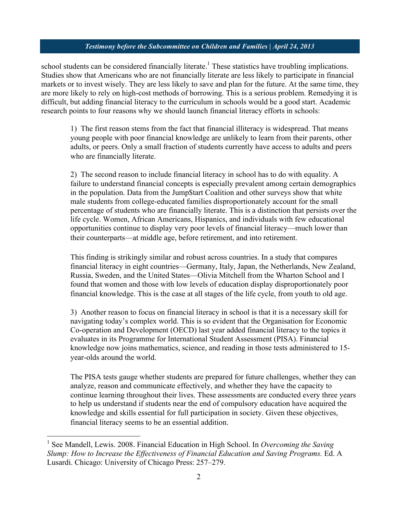## *Testimony before the Subcommittee on Children and Families | April 24, 2013*

school students can be considered financially literate.<sup>1</sup> These statistics have troubling implications. Studies show that Americans who are not financially literate are less likely to participate in financial markets or to invest wisely. They are less likely to save and plan for the future. At the same time, they are more likely to rely on high-cost methods of borrowing. This is a serious problem. Remedying it is difficult, but adding financial literacy to the curriculum in schools would be a good start. Academic research points to four reasons why we should launch financial literacy efforts in schools:

1) The first reason stems from the fact that financial illiteracy is widespread. That means young people with poor financial knowledge are unlikely to learn from their parents, other adults, or peers. Only a small fraction of students currently have access to adults and peers who are financially literate.

2) The second reason to include financial literacy in school has to do with equality. A failure to understand financial concepts is especially prevalent among certain demographics in the population. Data from the Jump\$tart Coalition and other surveys show that white male students from college-educated families disproportionately account for the small percentage of students who are financially literate. This is a distinction that persists over the life cycle. Women, African Americans, Hispanics, and individuals with few educational opportunities continue to display very poor levels of financial literacy—much lower than their counterparts—at middle age, before retirement, and into retirement.

This finding is strikingly similar and robust across countries. In a study that compares financial literacy in eight countries—Germany, Italy, Japan, the Netherlands, New Zealand, Russia, Sweden, and the United States—Olivia Mitchell from the Wharton School and I found that women and those with low levels of education display disproportionately poor financial knowledge. This is the case at all stages of the life cycle, from youth to old age.

3) Another reason to focus on financial literacy in school is that it is a necessary skill for navigating today's complex world. This is so evident that the Organisation for Economic Co-operation and Development (OECD) last year added financial literacy to the topics it evaluates in its Programme for International Student Assessment (PISA). Financial knowledge now joins mathematics, science, and reading in those tests administered to 15 year-olds around the world.

The PISA tests gauge whether students are prepared for future challenges, whether they can analyze, reason and communicate effectively, and whether they have the capacity to continue learning throughout their lives. These assessments are conducted every three years to help us understand if students near the end of compulsory education have acquired the knowledge and skills essential for full participation in society. Given these objectives, financial literacy seems to be an essential addition.

 <sup>1</sup> See Mandell, Lewis. 2008. Financial Education in High School. In *Overcoming the Saving Slump: How to Increase the Effectiveness of Financial Education and Saving Programs. Ed. A* Lusardi. Chicago: University of Chicago Press: 257–279.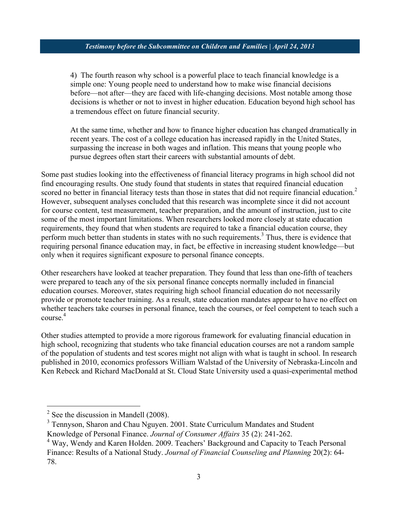## *Testimony before the Subcommittee on Children and Families | April 24, 2013*

4) The fourth reason why school is a powerful place to teach financial knowledge is a simple one: Young people need to understand how to make wise financial decisions before—not after—they are faced with life-changing decisions. Most notable among those decisions is whether or not to invest in higher education. Education beyond high school has a tremendous effect on future financial security.

At the same time, whether and how to finance higher education has changed dramatically in recent years. The cost of a college education has increased rapidly in the United States, surpassing the increase in both wages and inflation. This means that young people who pursue degrees often start their careers with substantial amounts of debt.

Some past studies looking into the effectiveness of financial literacy programs in high school did not find encouraging results. One study found that students in states that required financial education scored no better in financial literacy tests than those in states that did not require financial education.<sup>2</sup> However, subsequent analyses concluded that this research was incomplete since it did not account for course content, test measurement, teacher preparation, and the amount of instruction, just to cite some of the most important limitations. When researchers looked more closely at state education requirements, they found that when students are required to take a financial education course, they perform much better than students in states with no such requirements.<sup>3</sup> Thus, there is evidence that requiring personal finance education may, in fact, be effective in increasing student knowledge—but only when it requires significant exposure to personal finance concepts.

Other researchers have looked at teacher preparation. They found that less than one-fifth of teachers were prepared to teach any of the six personal finance concepts normally included in financial education courses. Moreover, states requiring high school financial education do not necessarily provide or promote teacher training. As a result, state education mandates appear to have no effect on whether teachers take courses in personal finance, teach the courses, or feel competent to teach such a course.<sup>4</sup>

Other studies attempted to provide a more rigorous framework for evaluating financial education in high school, recognizing that students who take financial education courses are not a random sample of the population of students and test scores might not align with what is taught in school. In research published in 2010, economics professors William Walstad of the University of Nebraska-Lincoln and Ken Rebeck and Richard MacDonald at St. Cloud State University used a quasi-experimental method

 $2$  See the discussion in Mandell (2008).

<sup>&</sup>lt;sup>3</sup> Tennyson, Sharon and Chau Nguyen. 2001. State Curriculum Mandates and Student Knowledge of Personal Finance. *Journal of Consumer Affairs* 35 (2): 241-262.

<sup>&</sup>lt;sup>4</sup> Way, Wendy and Karen Holden. 2009. Teachers' Background and Capacity to Teach Personal Finance: Results of a National Study. *Journal of Financial Counseling and Planning* 20(2): 64- 78.